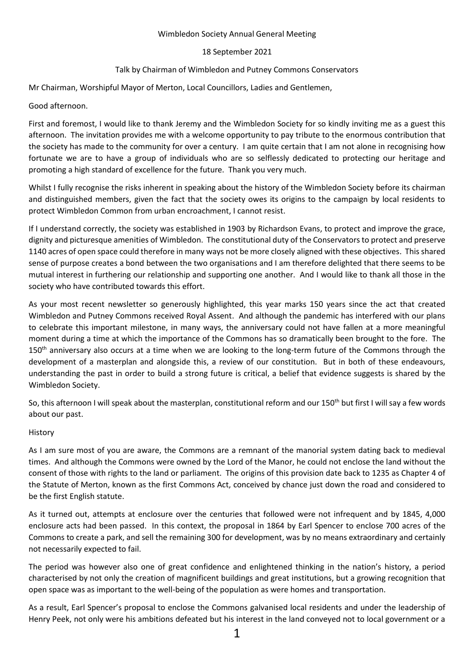#### Wimbledon Society Annual General Meeting

### 18 September 2021

### Talk by Chairman of Wimbledon and Putney Commons Conservators

Mr Chairman, Worshipful Mayor of Merton, Local Councillors, Ladies and Gentlemen,

Good afternoon.

First and foremost, I would like to thank Jeremy and the Wimbledon Society for so kindly inviting me as a guest this afternoon. The invitation provides me with a welcome opportunity to pay tribute to the enormous contribution that the society has made to the community for over a century. I am quite certain that I am not alone in recognising how fortunate we are to have a group of individuals who are so selflessly dedicated to protecting our heritage and promoting a high standard of excellence for the future. Thank you very much.

Whilst I fully recognise the risks inherent in speaking about the history of the Wimbledon Society before its chairman and distinguished members, given the fact that the society owes its origins to the campaign by local residents to protect Wimbledon Common from urban encroachment, I cannot resist.

If I understand correctly, the society was established in 1903 by Richardson Evans, to protect and improve the grace, dignity and picturesque amenities of Wimbledon. The constitutional duty of the Conservators to protect and preserve 1140 acres of open space could therefore in many ways not be more closely aligned with these objectives. This shared sense of purpose creates a bond between the two organisations and I am therefore delighted that there seems to be mutual interest in furthering our relationship and supporting one another. And I would like to thank all those in the society who have contributed towards this effort.

As your most recent newsletter so generously highlighted, this year marks 150 years since the act that created Wimbledon and Putney Commons received Royal Assent. And although the pandemic has interfered with our plans to celebrate this important milestone, in many ways, the anniversary could not have fallen at a more meaningful moment during a time at which the importance of the Commons has so dramatically been brought to the fore. The 150<sup>th</sup> anniversary also occurs at a time when we are looking to the long-term future of the Commons through the development of a masterplan and alongside this, a review of our constitution. But in both of these endeavours, understanding the past in order to build a strong future is critical, a belief that evidence suggests is shared by the Wimbledon Society.

So, this afternoon I will speak about the masterplan, constitutional reform and our 150<sup>th</sup> but first I will say a few words about our past.

#### History

As I am sure most of you are aware, the Commons are a remnant of the manorial system dating back to medieval times. And although the Commons were owned by the Lord of the Manor, he could not enclose the land without the consent of those with rights to the land or parliament. The origins of this provision date back to 1235 as Chapter 4 of the Statute of Merton, known as the first Commons Act, conceived by chance just down the road and considered to be the first English statute.

As it turned out, attempts at enclosure over the centuries that followed were not infrequent and by 1845, 4,000 enclosure acts had been passed. In this context, the proposal in 1864 by Earl Spencer to enclose 700 acres of the Commons to create a park, and sell the remaining 300 for development, was by no means extraordinary and certainly not necessarily expected to fail.

The period was however also one of great confidence and enlightened thinking in the nation's history, a period characterised by not only the creation of magnificent buildings and great institutions, but a growing recognition that open space was as important to the well-being of the population as were homes and transportation.

As a result, Earl Spencer's proposal to enclose the Commons galvanised local residents and under the leadership of Henry Peek, not only were his ambitions defeated but his interest in the land conveyed not to local government or a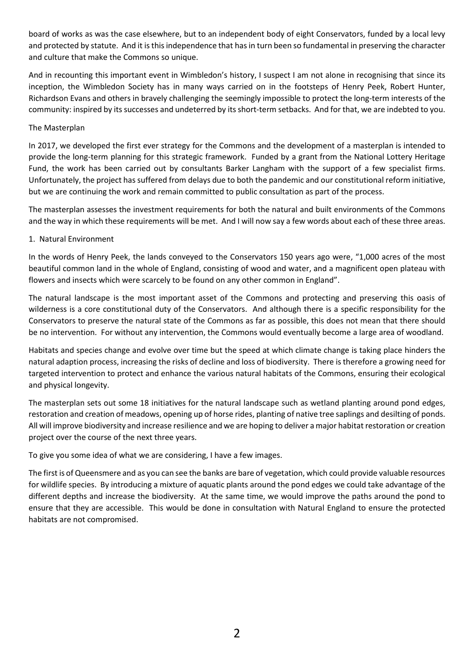board of works as was the case elsewhere, but to an independent body of eight Conservators, funded by a local levy and protected by statute. And it is this independence that has in turn been so fundamental in preserving the character and culture that make the Commons so unique.

And in recounting this important event in Wimbledon's history, I suspect I am not alone in recognising that since its inception, the Wimbledon Society has in many ways carried on in the footsteps of Henry Peek, Robert Hunter, Richardson Evans and others in bravely challenging the seemingly impossible to protect the long-term interests of the community: inspired by its successes and undeterred by its short-term setbacks. And for that, we are indebted to you.

# The Masterplan

In 2017, we developed the first ever strategy for the Commons and the development of a masterplan is intended to provide the long-term planning for this strategic framework. Funded by a grant from the National Lottery Heritage Fund, the work has been carried out by consultants Barker Langham with the support of a few specialist firms. Unfortunately, the project has suffered from delays due to both the pandemic and our constitutional reform initiative, but we are continuing the work and remain committed to public consultation as part of the process.

The masterplan assesses the investment requirements for both the natural and built environments of the Commons and the way in which these requirements will be met. And I will now say a few words about each of these three areas.

# 1. Natural Environment

In the words of Henry Peek, the lands conveyed to the Conservators 150 years ago were, "1,000 acres of the most beautiful common land in the whole of England, consisting of wood and water, and a magnificent open plateau with flowers and insects which were scarcely to be found on any other common in England".

The natural landscape is the most important asset of the Commons and protecting and preserving this oasis of wilderness is a core constitutional duty of the Conservators. And although there is a specific responsibility for the Conservators to preserve the natural state of the Commons as far as possible, this does not mean that there should be no intervention. For without any intervention, the Commons would eventually become a large area of woodland.

Habitats and species change and evolve over time but the speed at which climate change is taking place hinders the natural adaption process, increasing the risks of decline and loss of biodiversity. There is therefore a growing need for targeted intervention to protect and enhance the various natural habitats of the Commons, ensuring their ecological and physical longevity.

The masterplan sets out some 18 initiatives for the natural landscape such as wetland planting around pond edges, restoration and creation of meadows, opening up of horse rides, planting of native tree saplings and desilting of ponds. All will improve biodiversity and increase resilience and we are hoping to deliver a major habitat restoration or creation project over the course of the next three years.

To give you some idea of what we are considering, I have a few images.

The first is of Queensmere and as you can see the banks are bare of vegetation, which could provide valuable resources for wildlife species. By introducing a mixture of aquatic plants around the pond edges we could take advantage of the different depths and increase the biodiversity. At the same time, we would improve the paths around the pond to ensure that they are accessible. This would be done in consultation with Natural England to ensure the protected habitats are not compromised.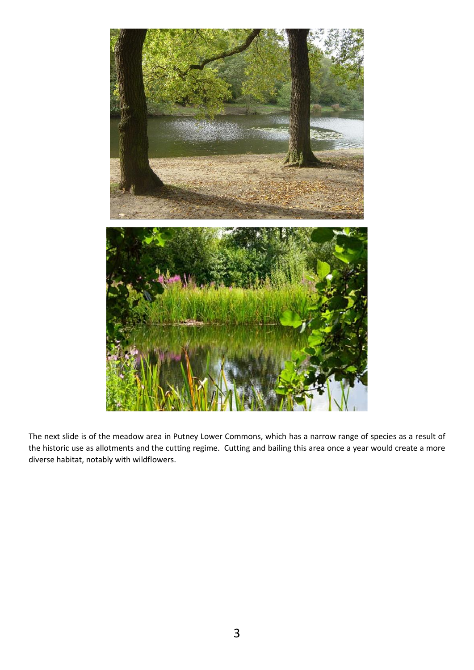

The next slide is of the meadow area in Putney Lower Commons, which has a narrow range of species as a result of the historic use as allotments and the cutting regime. Cutting and bailing this area once a year would create a more diverse habitat, notably with wildflowers.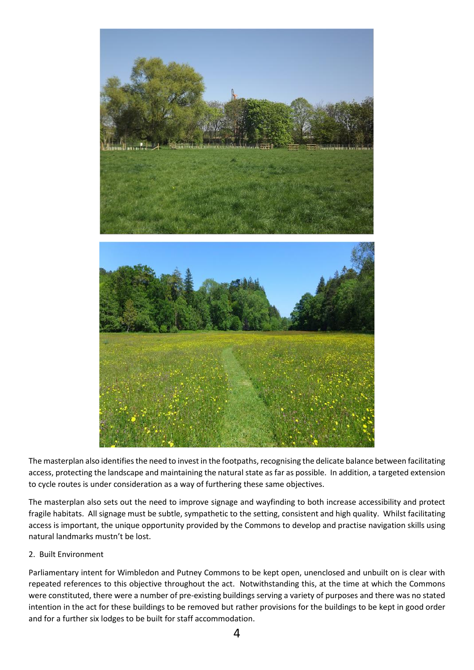

The masterplan also identifies the need to invest in the footpaths, recognising the delicate balance between facilitating access, protecting the landscape and maintaining the natural state as far as possible. In addition, a targeted extension to cycle routes is under consideration as a way of furthering these same objectives.

The masterplan also sets out the need to improve signage and wayfinding to both increase accessibility and protect fragile habitats. All signage must be subtle, sympathetic to the setting, consistent and high quality. Whilst facilitating access is important, the unique opportunity provided by the Commons to develop and practise navigation skills using natural landmarks mustn't be lost.

# 2. Built Environment

Parliamentary intent for Wimbledon and Putney Commons to be kept open, unenclosed and unbuilt on is clear with repeated references to this objective throughout the act. Notwithstanding this, at the time at which the Commons were constituted, there were a number of pre-existing buildings serving a variety of purposes and there was no stated intention in the act for these buildings to be removed but rather provisions for the buildings to be kept in good order and for a further six lodges to be built for staff accommodation.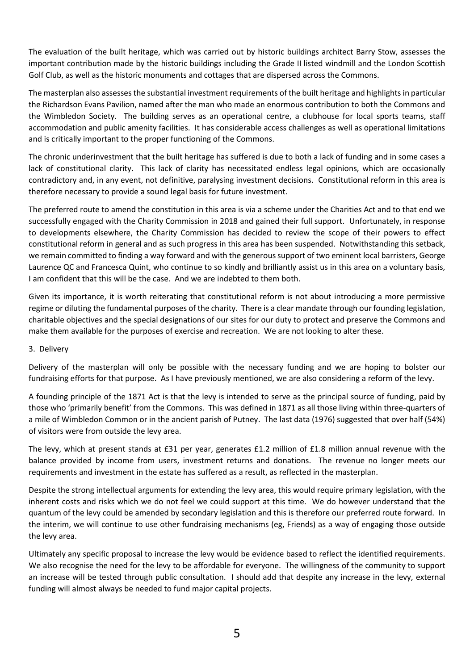The evaluation of the built heritage, which was carried out by historic buildings architect Barry Stow, assesses the important contribution made by the historic buildings including the Grade II listed windmill and the London Scottish Golf Club, as well as the historic monuments and cottages that are dispersed across the Commons.

The masterplan also assesses the substantial investment requirements of the built heritage and highlights in particular the Richardson Evans Pavilion, named after the man who made an enormous contribution to both the Commons and the Wimbledon Society. The building serves as an operational centre, a clubhouse for local sports teams, staff accommodation and public amenity facilities. It has considerable access challenges as well as operational limitations and is critically important to the proper functioning of the Commons.

The chronic underinvestment that the built heritage has suffered is due to both a lack of funding and in some cases a lack of constitutional clarity. This lack of clarity has necessitated endless legal opinions, which are occasionally contradictory and, in any event, not definitive, paralysing investment decisions. Constitutional reform in this area is therefore necessary to provide a sound legal basis for future investment.

The preferred route to amend the constitution in this area is via a scheme under the Charities Act and to that end we successfully engaged with the Charity Commission in 2018 and gained their full support. Unfortunately, in response to developments elsewhere, the Charity Commission has decided to review the scope of their powers to effect constitutional reform in general and as such progress in this area has been suspended. Notwithstanding this setback, we remain committed to finding a way forward and with the generous support of two eminent local barristers, George Laurence QC and Francesca Quint, who continue to so kindly and brilliantly assist us in this area on a voluntary basis, I am confident that this will be the case. And we are indebted to them both.

Given its importance, it is worth reiterating that constitutional reform is not about introducing a more permissive regime or diluting the fundamental purposes of the charity. There is a clear mandate through our founding legislation, charitable objectives and the special designations of our sites for our duty to protect and preserve the Commons and make them available for the purposes of exercise and recreation. We are not looking to alter these.

#### 3. Delivery

Delivery of the masterplan will only be possible with the necessary funding and we are hoping to bolster our fundraising efforts for that purpose. As I have previously mentioned, we are also considering a reform of the levy.

A founding principle of the 1871 Act is that the levy is intended to serve as the principal source of funding, paid by those who 'primarily benefit' from the Commons. This was defined in 1871 as all those living within three-quarters of a mile of Wimbledon Common or in the ancient parish of Putney. The last data (1976) suggested that over half (54%) of visitors were from outside the levy area.

The levy, which at present stands at £31 per year, generates £1.2 million of £1.8 million annual revenue with the balance provided by income from users, investment returns and donations. The revenue no longer meets our requirements and investment in the estate has suffered as a result, as reflected in the masterplan.

Despite the strong intellectual arguments for extending the levy area, this would require primary legislation, with the inherent costs and risks which we do not feel we could support at this time. We do however understand that the quantum of the levy could be amended by secondary legislation and this is therefore our preferred route forward. In the interim, we will continue to use other fundraising mechanisms (eg, Friends) as a way of engaging those outside the levy area.

Ultimately any specific proposal to increase the levy would be evidence based to reflect the identified requirements. We also recognise the need for the levy to be affordable for everyone. The willingness of the community to support an increase will be tested through public consultation. I should add that despite any increase in the levy, external funding will almost always be needed to fund major capital projects.